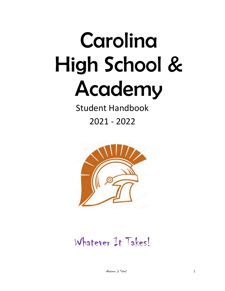# Carolina High School & Academy

Student Handbook

2021 - 2022



Whatever It Takes!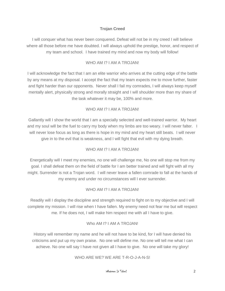#### **Trojan Creed**

I will conquer what has never been conquered. Defeat will not be in my creed I will believe where all those before me have doubted. I will always uphold the prestige, honor, and respect of my team and school. I have trained my mind and now my body will follow!

#### WHO AM I? I AM A TROJAN!

I will acknowledge the fact that I am an elite warrior who arrives at the cutting edge of the battle by any means at my disposal. I accept the fact that my team expects me to move further, faster and fight harder than our opponents. Never shall I fail my comrades, I will always keep myself mentally alert, physically strong and morally straight and I will shoulder more than my share of the task whatever it may be, 100% and more.

#### WHO AM I? I AM A TROJAN!

Gallantly will I show the world that I am a specially selected and well-trained warrior. My heart and my soul will be the fuel to carry my body when my limbs are too weary. I will never falter. I will never lose focus as long as there is hope in my mind and my heart still beats. I will never give in to the evil that is weakness, and I will fight that evil with my dying breath.

#### WHO AM I? I AM A TROJANI

Energetically will I meet my enemies, no one will challenge me, No one will stop me from my goal. I shall defeat them on the field of battle for I am better trained and will fight with all my might. Surrender is not a Trojan word. I will never leave a fallen comrade to fall at the hands of my enemy and under no circumstances will I ever surrender.

#### WHO AM I? I AM A TROJAN!

Readily will I display the discipline and strength required to fight on to my objective and I will complete my mission. I will rise when I have fallen. My enemy need not fear me but will respect me. If he does not, I will make him respect me with all I have to give.

#### Who AM I? I AM A TROJANI

History will remember my name and he will not have to be kind, for I will have denied his criticisms and put up my own praise. No one will define me. No one will tell me what I can achieve. No one will say I have not given all I have to give. No one will take my glory!

#### WHO ARE WE? WE ARE T-R-O-J-A-N-S!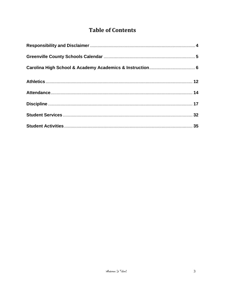# **Table of Contents**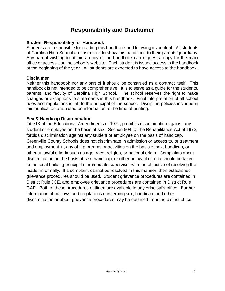# **Responsibility and Disclaimer**

#### **Student Responsibility for Handbook**

Students are responsible for reading this handbook and knowing its content. All students at Carolina High School are instructed to show this handbook to their parents/guardians. Any parent wishing to obtain a copy of the handbook can request a copy for the main office or access it on the school's website. Each student is issued access to the handbook at the beginning of the year. All students are expected to have access to the handbook.

#### **Disclaimer**

Neither this handbook nor any part of it should be construed as a contract itself. This handbook is not intended to be comprehensive. It is to serve as a guide for the students, parents, and faculty of Carolina High School. The school reserves the right to make changes or exceptions to statements in this handbook. Final interpretation of all school rules and regulations is left to the principal of the school. Discipline policies included in this publication are based on information at the time of printing.

#### **Sex & Handicap Discrimination**

Title IX of the Educational Amendments of 1972, prohibits discrimination against any student or employee on the basis of sex. Section 504, of the Rehabilitation Act of 1973, forbids discrimination against any student or employee on the basis of handicap. Greenville County Schools does not discriminate in admission or access to, or treatment and employment in, any of it programs or activities on the basis of sex, handicap, or other unlawful criteria such as age, race, religion, or national origin. Complaints about discrimination on the basis of sex, handicap, or other unlawful criteria should be taken to the local building principal or immediate supervisor with the objective of resolving the matter informally. If a complaint cannot be resolved in this manner, then established grievance procedures should be used. Student grievance procedures are contained in District Rule JCE, and employee grievance procedures are contained in District Rule GAE. Both of these procedures outlined are available in any principal's office. Further information about laws and regulations concerning sex, handicap, and other discrimination or about grievance procedures may be obtained from the district office**.**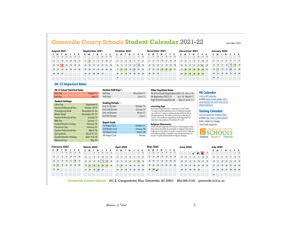## Greenville County Schools Student Calendar 2021-22

December 2020

| August 2021 |       |                |      |    |    |           |     |        |              | September 2021 |                 |    |       |     | October 2021   |    |        |    |    |       | November 2021 |                 |                |    |                     |       |      |    |       |              | December 2021 |                 |                             |       |    |             |    | January 2022 |                 |     |                |
|-------------|-------|----------------|------|----|----|-----------|-----|--------|--------------|----------------|-----------------|----|-------|-----|----------------|----|--------|----|----|-------|---------------|-----------------|----------------|----|---------------------|-------|------|----|-------|--------------|---------------|-----------------|-----------------------------|-------|----|-------------|----|--------------|-----------------|-----|----------------|
| s           |       |                | w    |    |    |           |     |        |              |                |                 |    |       | s   |                |    |        |    |    | s     | s             |                 |                | w  |                     | Е.    | s    | s  |       |              | w             |                 |                             | s     | s  | м           |    | w            |                 | F S |                |
|             |       | $\overline{a}$ | $-4$ |    |    | 6 7       |     |        |              |                | $1 \t2 \t3 \t4$ |    |       |     |                |    |        |    |    | 12    |               | $\mathbf{1}$    | $\overline{2}$ |    | $3 \quad 4 \quad 5$ |       |      |    |       |              |               |                 | $1 \quad 2 \quad 3 \quad 4$ |       |    |             |    |              |                 |     |                |
|             |       | 10             | 11   | 12 |    | $13 \t14$ | 6.  |        | $\mathbf{v}$ | R              | $\mathbf{a}$    | 10 | 11    |     | 3 <sub>4</sub> | Б. |        |    |    |       |               | $7 - 8$         | $\sim$         | 10 |                     | 11 12 | - 13 | B. |       | $\mathbf{B}$ |               | $\bullet$       |                             | 10 11 |    | $2 \quad 3$ |    |              | 6.              |     | 7 <sub>5</sub> |
|             | 15 16 | $+7$           | 18.  | 19 |    | 20 21     | 12  | 13     | 14           |                | 15 16 17 18     |    |       |     | 10 11 12       |    | 13     | 14 | 15 | 16    | 14            | 15 <sub>1</sub> | 16             | 17 | 18                  | 18    | 20   | 12 | 13    | 14           | 15            | 16              | $17$ 18                     |       |    | $9 - 10$    | 11 | 12           | 13              |     |                |
|             | 22 23 | 24.            | 25   | 26 | 27 | 28        | 19. | $20 -$ | 21           | $22 -$         | 23              |    | 24 25 | 17  | 181            |    | $20 -$ |    |    | 22 23 | $21 -$        | 22              | 23             | 24 | $26 -$              | 26    | 27   | 19 | 20    | 21           | 22            | 20.             |                             | 24 25 | 16 |             | 18 |              | 20 <sub>1</sub> |     | $21 \t 2$      |
|             |       | 29 30 31       |      |    |    |           | 26  | 27     | 28           |                | 29 30           |    |       |     | 24 25          | 26 | 27     | 2B |    | 29 30 | 28            |                 | 29 30          |    |                     |       |      |    | 26 27 | 28           | 29            | 30 <sub>1</sub> | 31                          |       |    | 23 24       | 25 |              |                 |     | $\rightarrow$  |
|             |       |                |      |    |    |           |     |        |              |                |                 |    |       | 211 |                |    |        |    |    |       |               |                 |                |    |                     |       |      |    |       |              |               |                 |                             |       |    | $30 \t31$   |    |              |                 |     |                |

#### **5K-12 Important Dates**

| 5K-12 School Start/End Dates     |                | Student Half-Days                    |         |
|----------------------------------|----------------|--------------------------------------|---------|
| <b>First Day</b>                 | August 17      | Half-Day                             | Dec     |
| Last Day                         | June 3         | Half-Days                            |         |
| <b>Student Holidays</b>          |                |                                      |         |
| Labor Day                        | September 6    | Grading Periods □<br>End 1st Quarter |         |
| <b>Teacher Professional Dev.</b> | October 18-19  |                                      | 0       |
| Thanksgiving Break               | November 24-26 | End 2nd Quarter                      | Ji      |
| <b>Winter Break</b>              | December 20-31 | End 3rd Quarter                      |         |
| <b>Teacher Professional Dev.</b> | January 14     | End 4th Quarter                      |         |
| <b>MLK Day</b>                   | January 17     |                                      |         |
| Student/Teacher Holiday          | February 18    | <b>Report Cards</b>                  |         |
| Presidents' Day                  | February 21    | 1st Report Card                      | $\circ$ |
| <b>Teacher Professional Dev.</b> | March 18       | 2nd Report Card                      | Ji      |
| Spring Break                     | March 21-25    | 3rd Report Card                      |         |
| Student/Teacher Holidays         | April 15 & 18  | 4th Report Card                      |         |
| <b>Memorial Day</b>              | May 30         |                                      |         |

| Half-Day                  | December 17 |
|---------------------------|-------------|
| Half-Days                 | June 2-3    |
| Grading Periods $\square$ |             |
| End 1st Quarter           | October 15  |
| End 2nd Ouarter           | January 13  |
| End 3rd Quarter           | March 17    |
| End 4th Quarter           | June 3      |
| <b>Report Cards</b>       |             |
| 1st Report Card           | October 21  |
| 2nd Report Card           | January 20  |
| 3rd Report Card           | March 30    |
| 4th Report Card           | Mailed      |

#### **Other Important Dates**

5K & First Grade Registration/2022-23 Dec. 6-10 4K Application/2022-23 Jan. 10 - March 11 High School Graduations • May 31, June 1-3

#### eLearning Days

As an eLearning District if it is necessary to close school on a day of student attendance due to inclement weather up to the first 3 and any subsequent days will be made up through elearning. The make-up will occur on the day of closure. (This statement required per State Department of Education interpretation of SC Statute 59-1-425)

#### **Religious Observances**

School officials cooperate with students and employees when they need to be absent to participate in religious observances. Students missing school are given an opportunity to make up work without penalty. Employees may use personal days (or vacation if applicable) to observe religious holidays.

#### **4K Calendar**

Link to 4K Calendar or Visit https://indd.adobe.com/ view/942cb218-7b79-4f33-b73f-89d367d82b5c

#### **Testing Calendar**

**Link to Important Testing Dates** or Visit http://tiny.cc/TestCal2021 Dates subject to change, check back regularly.



| February 2022    |           |              |        |                     |    |       |    |       | March 2022 |                 |           |    |    | April 2022 |       |          |                 |    |     |             |              | May 2022 |           |                     |    |          | <b>June 2022</b> |  |           |    |              |                                   | <b>July 2022</b> |       |    |    |          |        |               |         |         |
|------------------|-----------|--------------|--------|---------------------|----|-------|----|-------|------------|-----------------|-----------|----|----|------------|-------|----------|-----------------|----|-----|-------------|--------------|----------|-----------|---------------------|----|----------|------------------|--|-----------|----|--------------|-----------------------------------|------------------|-------|----|----|----------|--------|---------------|---------|---------|
| s                | м         |              | w      |                     | E. | s     | s  | м     |            | w               |           | н. | s  | s          | м     |          | w               |    |     |             | s            | м        |           | w                   |    | F S      |                  |  |           |    |              |                                   |                  |       | s  | м  |          | w      |               | F S     |         |
|                  |           |              |        | $1 \t2 \t3 \t4 \t5$ |    |       |    |       |            |                 | 1 2 3 4 5 |    |    |            |       |          |                 |    |     | $1 \quad 2$ | $\mathbf{1}$ |          |           | $2 \quad 3 \quad 4$ |    | $-6$ $-$ |                  |  |           |    |              | $\cdot$ $\times$ $\times$ $\cdot$ |                  |       |    |    |          |        |               |         | $1 \t2$ |
| $\sigma$         |           |              | $-8$   | 10                  |    | 11 12 |    | 6 7   |            |                 | 10        | 11 | 12 |            |       |          |                 |    | 789 |             | $\mathbf{a}$ |          | 10        | 11                  | 12 |          | 13 14            |  | $B = B$   |    | $\mathbf{a}$ | $\sim$                            | 10               | 11    | я. |    | <b>B</b> | $\sim$ | $\mathcal{F}$ | $8 \t9$ |         |
| 13 <sup>13</sup> | 14        | 15           | 16     | 17                  | 18 | 19    | 13 | 14    | 15         | 16              | 17        | 18 | 19 |            |       | 10 11 12 | 13              | 14 |     | 15 16       | 15           | 16       | 17        | 18                  | 19 |          | $20 \t 21$       |  | $12 - 13$ | 14 | 15           | $-16$                             |                  | 17 18 | 10 |    | 11 12    | 13     | 14            |         | 15 16   |
| 20 <sub>2</sub>  | 21        | $22^{\circ}$ | $23 -$ | 24                  |    | 26 26 | 20 | 21    | 22         | 23              | 24        | 25 | 26 | 17         |       | 39       | 20 <sub>1</sub> | 21 | 22  | 23          | 22           | 23       | 24        | 25                  | 26 |          | $27 - 28$        |  | 19 20     | 21 | 22           | 23.                               |                  | 24 25 | 17 | 18 | 19       | 20     | 21            |         | 22 23   |
|                  | $27 - 23$ |              |        |                     |    |       |    | 27 28 | 29         | 30 <sub>1</sub> | 31        |    |    |            | 24 25 | 26       | 27              | 28 | 29  | 30          | 29           |          | $30 + 31$ |                     |    |          |                  |  | 26 27     | 28 | 29           | 80                                |                  |       | 24 | 25 | 26       | 27     | 288.          |         | 29 30   |
|                  |           |              |        |                     |    |       |    |       |            |                 |           |    |    |            |       |          |                 |    |     |             |              |          |           |                     |    |          |                  |  |           |    |              |                                   |                  |       | 31 |    |          |        |               |         |         |

Greenville County Schools | 301 E. Camperdown Way, Greenville, SC 29601 | 864-355-3100 | greenville.k12.sc.us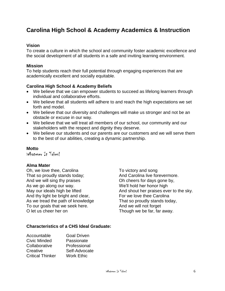# **Carolina High School & Academy Academics & Instruction**

#### **Vision**

To create a culture in which the school and community foster academic excellence and the social development of all students in a safe and inviting learning environment.

#### **Mission**

To help students reach their full potential through engaging experiences that are academically excellent and socially equitable.

#### **Carolina High School & Academy Beliefs**

- We believe that we can empower students to succeed as lifelong learners through individual and collaborative efforts.
- We believe that all students will adhere to and reach the high expectations we set forth and model.
- We believe that our diversity and challenges will make us stronger and not be an obstacle or excuse in our way.
- We believe that we will treat all members of our school, our community and our stakeholders with the respect and dignity they deserve.
- We believe our students and our parents are our customers and we will serve them to the best of our abilities, creating a dynamic partnership.

#### **Motto**

Whatever It Takes!

#### **Alma Mater**

Oh, we love thee, Carolina To victory and song That so proudly stands today; example and Carolina live forevermore. And we will sing thy praises Oh cheers for days gone by, As we go along our way. We'll hold her honor high And thy light be bright and clear, For we love thee Carolina As we tread the path of knowledge That so proudly stands today, To our goals that we seek here. And we will not forget O let us cheer her on Though we be far, far away.

May our ideals high be lifted And shout her praises ever to the sky.

#### **Characteristics of a CHS Ideal Graduate:**

| Accountable             | <b>Goal Driven</b> |
|-------------------------|--------------------|
| Civic Minded            | Passionate         |
| Collaborative           | Professional       |
| Creative                | Self-Advocate      |
| <b>Critical Thinker</b> | <b>Work Ethic</b>  |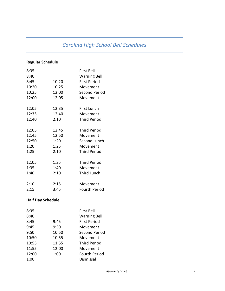# *Carolina High School Bell Schedules*

## **Regular Schedule**

| 8:35  |       | First Bell          |
|-------|-------|---------------------|
| 8:40  |       | <b>Warning Bell</b> |
| 8:45  | 10:20 | First Period        |
| 10:20 | 10:25 | Movement            |
| 10:25 | 12:00 | Second Period       |
| 12:00 | 12:05 | Movement            |
| 12:05 | 12:35 | <b>First Lunch</b>  |
| 12:35 | 12:40 | Movement            |
| 12:40 | 2:10  | <b>Third Period</b> |
| 12:05 | 12:45 | <b>Third Period</b> |
| 12:45 | 12:50 | Movement            |
| 12:50 | 1:20  | Second Lunch        |
| 1:20  | 1:25  | Movement            |
| 1:25  | 2:10  | <b>Third Period</b> |
| 12:05 | 1:35  | <b>Third Period</b> |
| 1:35  | 1:40  | Movement            |
| 1:40  | 2:10  | <b>Third Lunch</b>  |
| 2:10  | 2:15  | Movement            |
| 2:15  | 3:45  | Fourth Period       |

## **Half Day Schedule**

| 8:35  |       | First Bell           |
|-------|-------|----------------------|
| 8:40  |       | <b>Warning Bell</b>  |
| 8:45  | 9:45  | <b>First Period</b>  |
| 9:45  | 9:50  | Movement             |
| 9:50  | 10:50 | Second Period        |
| 10:50 | 10:55 | Movement             |
| 10:55 | 11:55 | <b>Third Period</b>  |
| 11:55 | 12:00 | Movement             |
| 12:00 | 1:00  | <b>Fourth Period</b> |
| 1:00  |       | Dismissal            |
|       |       |                      |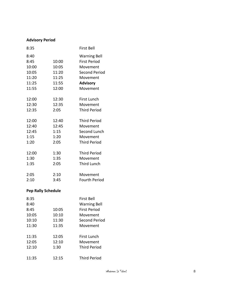## **Advisory Period**

| 8:35                                                      |                                                    | <b>First Bell</b>                                                                                                         |
|-----------------------------------------------------------|----------------------------------------------------|---------------------------------------------------------------------------------------------------------------------------|
| 8:40<br>8:45<br>10:00<br>10:05<br>11:20<br>11:25<br>11:55 | 10:00<br>10:05<br>11:20<br>11:25<br>11:55<br>12:00 | <b>Warning Bell</b><br><b>First Period</b><br>Movement<br><b>Second Period</b><br>Movement<br><b>Advisory</b><br>Movement |
| 12:00                                                     | 12:30                                              | First Lunch                                                                                                               |
| 12:30                                                     | 12:35                                              | Movement                                                                                                                  |
| 12:35                                                     | 2:05                                               | <b>Third Period</b>                                                                                                       |
| 12:00                                                     | 12:40                                              | <b>Third Period</b>                                                                                                       |
| 12:40                                                     | 12:45                                              | Movement                                                                                                                  |
| 12:45                                                     | 1:15                                               | Second Lunch                                                                                                              |
| 1:15                                                      | 1:20                                               | Movement                                                                                                                  |
| 1:20                                                      | 2:05                                               | <b>Third Period</b>                                                                                                       |
| 12:00                                                     | 1:30                                               | <b>Third Period</b>                                                                                                       |
| 1:30                                                      | 1:35                                               | Movement                                                                                                                  |
| 1:35                                                      | 2:05                                               | <b>Third Lunch</b>                                                                                                        |
| 2:05                                                      | 2:10                                               | Movement                                                                                                                  |
| 2:10                                                      | 3:45                                               | <b>Fourth Period</b>                                                                                                      |
| <b>Pep Rally Schedule</b>                                 |                                                    |                                                                                                                           |
| 8:35<br>8:40<br>8:45<br>10:05<br>10:10<br>11:30           | 10:05<br>10:10<br>11:30<br>11:35                   | <b>First Bell</b><br><b>Warning Bell</b><br>First Period<br>Movement<br><b>Second Period</b><br>Movement                  |
| 11:35                                                     | 12:05                                              | <b>First Lunch</b>                                                                                                        |
| 12:05                                                     | 12:10                                              | Movement                                                                                                                  |
| 12:10                                                     | 1:30                                               | <b>Third Period</b>                                                                                                       |
| 11:35                                                     | 12:15                                              | <b>Third Period</b>                                                                                                       |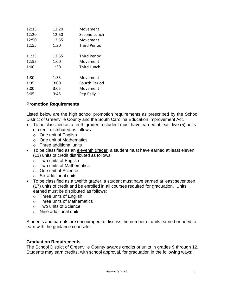| 12:15 | 12:20 | Movement            |
|-------|-------|---------------------|
| 12:20 | 12:50 | Second Lunch        |
| 12:50 | 12:55 | Movement            |
| 12:55 | 1:30  | <b>Third Period</b> |
|       |       |                     |
| 11:35 | 12:55 | <b>Third Period</b> |
| 12:55 | 1:00  | Movement            |
| 1:00  | 1:30  | Third Lunch         |
|       |       |                     |
| 1:30  | 1:35  | Movement            |
| 1:35  | 3:00  | Fourth Period       |
| 3:00  | 3:05  | Movement            |
| 3:05  | 3:45  | Pep Rally           |
|       |       |                     |

#### **Promotion Requirements**

Listed below are the high school promotion requirements as prescribed by the School District of Greenville County and the South Carolina Education Improvement Act.

- To be classified as a tenth grader, a student must have earned at least five (5) units of credit distributed as follows:
	- o One unit of English
	- o One unit of Mathematics
	- o Three additional units
- To be classified as an eleventh grader, a student must have earned at least eleven (11) units of credit distributed as follows:
	- o Two units of English
	- o Two units of Mathematics
	- o One unit of Science
	- o Six additional units
- To be classified as a twelfth grader, a student must have earned at least seventeen (17) units of credit and be enrolled in all courses required for graduation. Units earned must be distributed as follows:
	- o Three units of English
	- o Three units of Mathematics
	- o Two units of Science
	- o Nine additional units

Students and parents are encouraged to discuss the number of units earned or need to earn with the guidance counselor.

#### **Graduation Requirements**

The School District of Greenville County awards credits or units in grades 9 through 12. Students may earn credits, with school approval, for graduation in the following ways: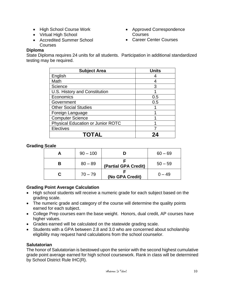- High School Course Work
- Virtual High School
- Accredited Summer School Courses

## **Diploma**

State Diploma requires 24 units for all students. Participation in additional standardized testing may be required.

• Approved Correspondence

• Career Center Courses

**Courses** 

| <b>Subject Area</b>                      | <b>Units</b> |
|------------------------------------------|--------------|
| English                                  |              |
| Math                                     |              |
| Science                                  | 3            |
| U.S. History and Constitution            |              |
| Economics                                | 0.5          |
| Government                               | 0.5          |
| <b>Other Social Studies</b>              |              |
| Foreign Language                         |              |
| <b>Computer Science</b>                  |              |
| <b>Physical Education or Junior ROTC</b> |              |
| <b>Electives</b>                         |              |
| TOTAL                                    |              |

#### **Grading Scale**

| А | $90 - 100$ |                      | $60 - 69$ |
|---|------------|----------------------|-----------|
| В | $80 - 89$  | (Partial GPA Credit) | $50 - 59$ |
|   | $70 - 79$  | (No GPA Credit)      | $0 - 49$  |

#### **Grading Point Average Calculation**

- High school students will receive a numeric grade for each subject based on the grading scale.
- The numeric grade and category of the course will determine the quality points earned for each subject.
- College Prep courses earn the base weight. Honors, dual credit, AP courses have higher values.
- Grades earned will be calculated on the statewide grading scale.
- Students with a GPA between 2.8 and 3.0 who are concerned about scholarship eligibility may request hand calculations from the school counselor.

#### **Salutatorian**

The honor of Salutatorian is bestowed upon the senior with the second highest cumulative grade point average earned for high school coursework. Rank in class will be determined by School District Rule IHC(R).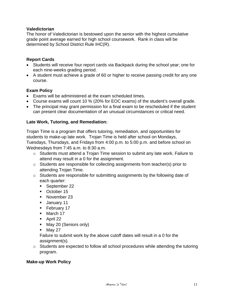#### **Valedictorian**

The honor of Valedictorian is bestowed upon the senior with the highest cumulative grade point average earned for high school coursework. Rank in class will be determined by School District Rule IHC(R).

#### **Report Cards**

- Students will receive four report cards via Backpack during the school year; one for each nine-weeks grading period.
- A student must achieve a grade of 60 or higher to receive passing credit for any one course.

#### **Exam Policy**

- Exams will be administered at the exam scheduled times.
- Course exams will count 10 % (20% for EOC exams) of the student's overall grade.
- The principal may grant permission for a final exam to be rescheduled if the student can present clear documentation of an unusual circumstances or critical need.

#### **Late Work, Tutoring, and Remediation:**

Trojan Time is a program that offers tutoring, remediation, and opportunities for students to make-up late work. Trojan Time is held after school on Mondays, Tuesdays, Thursdays, and Fridays from 4:00 p.m. to 5:00 p.m. and before school on Wednesdays from 7:45 a.m. to 8:30 a.m.

- o Students must attend a Trojan Time session to submit any late work. Failure to attend may result in a 0 for the assignment.
- o Students are responsible for collecting assignments from teacher(s) prior to attending Trojan Time.
- o Students are responsible for submitting assignments by the following date of each quarter:
	- September 22
	- October 15
	- November 23
	- January 11
	- **E** February 17
	- March 17
	- April 22
	- May 20 (Seniors only)
	- $\blacksquare$  May 27

Failure to submit work by the above cutoff dates will result in a 0 for the assignment(s).

o Students are expected to follow all school procedures while attending the tutoring program.

#### **Make-up Work Policy**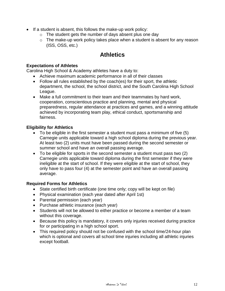- If a student is absent, this follows the make-up work policy:
	- $\circ$  The student gets the number of days absent plus one day
	- $\circ$  The make-up work policy takes place when a student is absent for any reason (ISS, OSS, etc.)

# **Athletics**

#### **Expectations of Athletes**

Carolina High School & Academy athletes have a duty to:

- Achieve maximum academic performance in all of their classes
- Follow all rules established by the coach(es) for their sport, the athletic department, the school, the school district, and the South Carolina High School League.
- Make a full commitment to their team and their teammates by hard work, cooperation, conscientious practice and planning, mental and physical preparedness, regular attendance at practices and games, and a winning attitude achieved by incorporating team play, ethical conduct, sportsmanship and fairness.

#### **Eligibility for Athletics**

- To be eligible in the first semester a student must pass a minimum of five (5) Carnegie units applicable toward a high school diploma during the previous year. At least two (2) units must have been passed during the second semester or summer school and have an overall passing average.
- To be eligible for sports in the second semester a student must pass two (2) Carnegie units applicable toward diploma during the first semester if they were ineligible at the start of school. If they were eligible at the start of school, they only have to pass four (4) at the semester point and have an overall passing average.

#### **Required Forms for Athletics**

- State certified birth certificate (one time only; copy will be kept on file)
- Physical examination (each year dated after April 1st)
- Parental permission (each year)
- Purchase athletic insurance (each year)
- Students will not be allowed to either practice or become a member of a team without this coverage.
- Because this policy is mandatory, it covers only injuries received during practice for or participating in a high school sport.
- This required policy should not be confused with the school time/24-hour plan which is optional and covers all school time injuries including all athletic injuries except football.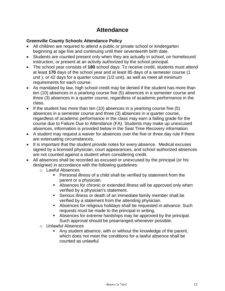# **Attendance**

#### **Greenville County Schools Attendance Policy**

- All children are required to attend a public or private school or kindergarten beginning at age five and continuing until their seventeenth birth date.
- Students are counted present only when they are actually in school, on homebound instruction, or present at an activity authorized by the school principal.
- The school year consists of **180** school days. To receive credit, students must attend at least **170** days of the school year and at least 85 days of a semester course (1 unit ), or 42 days for a quarter course (1/2 unit), as well as meet all minimum requirements for each course.
- As mandated by law, high school credit may be denied if the student has more than ten (10) absences in a yearlong course five (5) absences in a semester course and three (3) absences in a quarter course, regardless of academic performance in the class.
- If the student has more than ten (10) absences in a yearlong course five (5) absences in a semester course and three (3) absences in a quarter course, regardless of academic performance in the class may earn a failing grade for the course due to Failure Due to Attendance (FA). Students may make up unexcused absences, information is provided below in the Seat Time Recovery information.
- A student may request a waiver for absences over the five or three day rule if there are extenuating circumstances.
- It is important that the student provide notes for every absence. Medical excuses signed by a licensed physician, court appearances, and school authorized absences are not counted against a student when considering credit.
- All absences shall be recorded as excused or unexcused by the principal (or his designee) in accordance with the following guidelines:
	- o Lawful Absences
		- **•** Personal illness of a child shall be verified by statement from the parent or a physician.
		- **EXEDENT Absences for chronic or extended illness will be approved only when** verified by a physician's statement.
		- Serious illness or death of an immediate family member shall be verified by a statement from the attending physician.
		- Absences for religious holidays shall be requested in advance. Such requests must be made to the principal in writing.
		- Absences for extreme hardships may be approved by the principal. Such approval should be prearranged whenever possible.
	- o Unlawful Absences
		- Any student absence, with or without the knowledge of the parent, which does not meet the conditions for a lawful absence shall be counted as unlawful.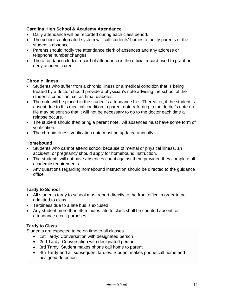#### **Carolina High School & Academy Attendance**

- Daily attendance will be recorded during each class period.
- The school's automated system will call students' homes to notify parents of the student's absence.
- Parents should notify the attendance clerk of absences and any address or telephone number changes.
- The attendance clerk's record of attendance is the official record used to grant or deny academic credit.

#### **Chronic Illness**

- Students who suffer from a chronic illness or a medical condition that is being treated by a doctor should provide a physician's note advising the school of the student's condition, i.e. asthma, diabetes.
- The note will be placed in the student's attendance file. Thereafter, if the student is absent due to this medical condition, a parent note referring to the doctor's note on file may be sent so that it will not be necessary to go to the doctor each time a relapse occurs.
- The student should then bring a parent note. All absences must have some form of verification.
- The chronic illness verification note must be updated annually.

#### **Homebound**

- Students who cannot attend school because of mental or physical illness, an accident, or pregnancy should apply for homebound instruction.
- The students will not have absences count against them provided they complete all academic requirements.
- Any questions regarding homebound instruction should be directed to the guidance office.

#### **Tardy to School**

- All students tardy to school must report directly to the front office in order to be admitted to class*.*
- Tardiness due to a late bus is excused.
- Any student more than 45 minutes late to class shall be counted absent for attendance credit purposes.

#### **Tardy to Class**

Students are expected to be on time to all classes.

- 1st Tardy: Conversation with designated person
- 2nd Tardy: Conversation with designated person
- 3rd Tardy: Student makes phone call home to parent
- 4th Tardy and all subsequent tardies: Student makes phone call home and assigned detention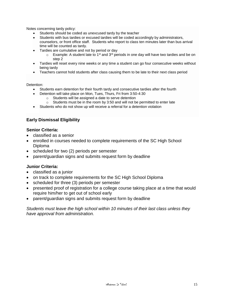Notes concerning tardy policy:

- Students should be coded as unexcused tardy by the teacher
- Students with bus tardies or excused tardies will be coded accordingly by administrators, counselors, or front office staff. Students who report to class ten minutes later than bus arrival time will be counted as tardy.
- Tardies are cumulative and not by period or day
	- $\circ$  Example: A student late to 1<sup>st</sup> and 3<sup>rd</sup> periods in one day will have two tardies and be on step 2
- Tardies will reset every nine weeks or any time a student can go four consecutive weeks without being tardy
- Teachers cannot hold students after class causing them to be late to their next class period

#### Detention:

- Students earn detention for their fourth tardy and consecutive tardies after the fourth
- Detention will take place on Mon, Tues, Thurs, Fri from 3:50-4:30
	- o Students will be assigned a date to serve detention
	- $\circ$  Students must be in the room by 3:50 and will not be permitted to enter late
- Students who do not show up will receive a referral for a detention violation

## **Early Dismissal Eligibility**

#### **Senior Criteria:**

- classified as a senior
- enrolled in courses needed to complete requirements of the SC High School Diploma
- scheduled for two (2) periods per semester
- parent/guardian signs and submits request form by deadline

#### **Junior Criteria:**

- classified as a junior
- on track to complete requirements for the SC High School Diploma
- scheduled for three (3) periods per semester
- presented proof of registration for a college course taking place at a time that would require him/her to get out of school early
- parent/guardian signs and submits request form by deadline

*Students must leave the high school within 10 minutes of their last class unless they have approval from administration.*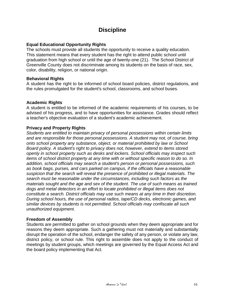# **Discipline**

#### **Equal Educational Opportunity Rights**

The schools must provide all students the opportunity to receive a quality education. This statement means that every student has the right to attend public school until graduation from high school or until the age of twenty-one (21). The School District of Greenville County does not discriminate among its students on the basis of race, sex, color, disability, religion, or national origin.

#### **Behavioral Rights**

A student has the right to be informed of school board policies, district regulations, and the rules promulgated for the student's school, classrooms, and school buses.

#### **Academic Rights**

A student is entitled to be informed of the academic requirements of his courses, to be advised of his progress, and to have opportunities for assistance. Grades should reflect a teacher's objective evaluation of a student's academic achievement.

#### **Privacy and Property Rights**

*Students are entitled to maintain privacy of personal possessions within certain limits and are responsible for those personal possessions. A student may not, of course, bring onto school property any substance, object, or material prohibited by law or School Board policy. A student's right to privacy does not, however, extend to items stored openly in school property such as desks and lockers. School officials may inspect such items of school district property at any time with or without specific reason to do so. In addition, school officials may search a student's person or personal possessions, such as book bags, purses, and cars parked on campus, if the officials have a reasonable suspicion that the search will reveal the presence of prohibited or illegal materials. The search must be reasonable under the circumstances, including such factors as the materials sought and the age and sex of the student. The use of such means as trained dogs and metal detectors in an effort to locate prohibited or illegal items does not constitute a search. District officials may use such means at any time in their discretion. During school hours, the use of personal radios, tape/CD decks, electronic games, and similar devices by students is not permitted. School officials may confiscate all such unauthorized equipment.*

#### **Freedom of Assembly**

Students are permitted to gather on school grounds when they deem appropriate and for reasons they deem appropriate. Such a gathering must not materially and substantially disrupt the operation of the school, endanger the safety of any person, or violate any law, district policy, or school rule. This right to assemble does not apply to the conduct of meetings by student groups, which meetings are governed by the Equal Access Act and the board policy implementing that Act.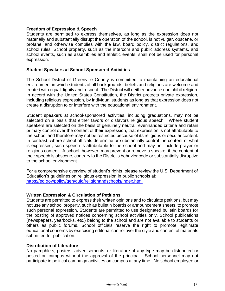#### **Freedom of Expression & Speech**

Students are permitted to express themselves, as long as the expression does not materially and substantially disrupt the operation of the school, is not vulgar, obscene, or profane, and otherwise complies with the law, board policy, district regulations, and school rules. School property, such as the intercom and public address systems, and school events, such as assemblies and athletic events, shall not be used for personal expression.

#### **Student Speakers at School-Sponsored Activities**

The School District of Greenville County is committed to maintaining an educational environment in which students of all backgrounds, beliefs and religions are welcome and treated with equal dignity and respect. The District will neither advance nor inhibit religion. In accord with the United States Constitution, the District protects private expression, including religious expression, by individual students as long as that expression does not create a disruption to or interfere with the educational environment.

Student speakers at school-sponsored activities, including graduations, may not be selected on a basis that either favors or disfavors religious speech. Where student speakers are selected on the basis of genuinely neutral, evenhanded criteria and retain primary control over the content of their expression, that expression is not attributable to the school and therefore may not be restricted because of its religious or secular content. In contrast, where school officials determine or substantially control the content of what is expressed, such speech is attributable to the school and may not include prayer or religious content. A school, however, may prevent or remove a speaker if the content of their speech is obscene, contrary to the District's behavior code or substantially disruptive to the school environment.

For a comprehensive overview of student's rights, please review the U.S. Department of Education's guidelines on religious expression in public schools at: <https://ed.gov/policy/gen/guid/religionandschools/index.html>

#### **Written Expression & Circulation of Petitions**

Students are permitted to express their written opinions and to circulate petitions, but may not use any school property, such as bulletin boards or announcement sheets, to promote such personal expression. Students are permitted to use designated bulletin boards for the posting of approved notices concerning school activities only. School publications (newspapers, yearbooks, etc.) belong to the school and are not available to students or others as public forums. School officials reserve the right to promote legitimate educational concerns by exercising editorial control over the style and content of materials submitted for publication.

#### **Distribution of Literature**

No pamphlets, posters, advertisements, or literature of any type may be distributed or posted on campus without the approval of the principal. School personnel may not participate in political campaign activities on campus at any time. No school employee or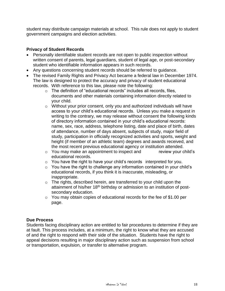student may distribute campaign materials at school. This rule does not apply to student government campaigns and election activities.

#### **Privacy of Student Records**

- Personally identifiable student records are not open to public inspection without written consent of parents, legal guardians, student of legal age, or post-secondary student who identifiable information appears in such records.
- Any questions concerning student records should be referred to guidance.
- The revised Family Rights and Privacy Act became a federal law in December 1974. The law is designed to protect the accuracy and privacy of student educational records. With reference to this law, please note the following:
	- o The definition of "educational records" includes all records, files, documents and other materials containing information directly related to your child.
	- o Without your prior consent, only you and authorized individuals will have access to your child's educational records. Unless you make a request in writing to the contrary, we may release without consent the following kinds of directory information contained in your child's educational records: name, sex, race, address, telephone listing, date and place of birth, dates of attendance, number of days absent, subjects of study, major field of study, participation in officially recognized activities and sports, weight and height (if member of an athletic team) degrees and awards received, and the most recent previous educational agency or institution attended.
	- o You may make an appointment to inspect and review your child's educational records.
	- $\circ$  You have the right to have your child's records interpreted for you.
	- $\circ$  You have the right to challenge any information contained in your child's educational records, if you think it is inaccurate, misleading, or inappropriate.
	- o The rights, described herein, are transferred to your child upon the attainment of his/her 18<sup>th</sup> birthday or admission to an institution of postsecondary education.
	- $\circ$  You may obtain copies of educational records for the fee of \$1.00 per page.

#### **Due Process**

Students facing disciplinary action are entitled to fair procedures to determine if they are at fault. This process includes, at a minimum, the right to know what they are accused of and the right to respond with their side of the situation. Students have the right to appeal decisions resulting in major disciplinary action such as suspension from school or transportation, expulsion, or transfer to alternative program.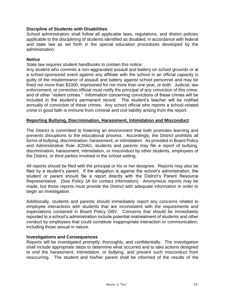#### **Discipline of Students with Disabilities**

School administrators shall follow all applicable laws, regulations, and district policies applicable to the disciplining of students identified as disabled, in accordance with federal and state law as set forth in the special education procedures developed by the administration.

#### **Notice**

State law requires student handbooks to contain this notice:

Any student who commits a non-aggravated assault and battery on school grounds or at a school-sponsored event against any affiliate with the school in an official capacity is guilty of the misdemeanor of assault and battery against school personnel and may be fined not more than \$1000, imprisoned for not more than one year, or both. Judicial, law enforcement, or correction official must notify the principal of any conviction of this crime, and of other "violent crimes." Information concerning convictions of these crimes will be included in the student's permanent record. The student's teacher will be notified annually of conviction of these crimes. Any school official who reports a school-related crime in good faith is immune from criminal and civil liability arising from the report.

#### **Reporting Bullying, Discrimination, Harassment, Intimidation and Misconduct**

The District is committed to fostering an environment that both promotes learning and prevents disruptions to the educational process. Accordingly, the District prohibits all forms of bullying, discrimination, harassment, or intimidation. As provided in Board Policy and Administrative Rule JCDAG, students and parents may file a report of bullying, discrimination, harassment, intimidation, or misconduct by other students, employees of the District, or third parties involved in the school setting.

All reports should be filed with the principal or his or her designee. Reports may also be filed by a student's parent. If the allegation is against the school's administration, the student or parent should file a report directly with the District's Parent Resource Representative. (See Policy JA for contact information). Anonymous reports may be made, but those reports must provide the District with adequate information in order to begin an investigation.

Additionally, students and parents should immediately report any concerns related to employee interactions with students that are inconsistent with the requirements and expectations contained in Board Policy GBV. Concerns that should be immediately reported to a school's administration include potential mistreatment of students and other conduct by employees that could constitute inappropriate interaction or communication, including those sexual in nature.

#### **Investigations and Consequences**

Reports will be investigated promptly, thoroughly, and confidentially. The investigation shall include appropriate steps to determine what occurred and to take actions designed to end the harassment, intimidation, or bullying, and prevent such misconduct from reoccurring. The student and his/her parent shall be informed of the results of the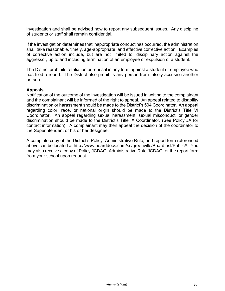investigation and shall be advised how to report any subsequent issues. Any discipline of students or staff shall remain confidential.

If the investigation determines that inappropriate conduct has occurred, the administration shall take reasonable, timely, age-appropriate, and effective corrective action. Examples of corrective action include, but are not limited to, disciplinary action against the aggressor, up to and including termination of an employee or expulsion of a student.

The District prohibits retaliation or reprisal in any form against a student or employee who has filed a report. The District also prohibits any person from falsely accusing another person.

#### **Appeals**

Notification of the outcome of the investigation will be issued in writing to the complainant and the complainant will be informed of the right to appeal. An appeal related to disability discrimination or harassment should be made to the District's 504 Coordinator. An appeal regarding color, race, or national origin should be made to the District's Title VI Coordinator. An appeal regarding sexual harassment, sexual misconduct, or gender discrimination should be made to the District's Title IX Coordinator. (See Policy JA for contact information). A complainant may then appeal the decision of the coordinator to the Superintendent or his or her designee.

A complete copy of the District's Policy, Administrative Rule, and report form referenced above can be located at [http://www.boarddocs.com/sc/greenville/Board.nsf/Public#.](http://www.boarddocs.com/sc/greenville/Board.nsf/Public) You may also receive a copy of Policy JCDAG, Administrative Rule JCDAG, or the report form from your school upon request.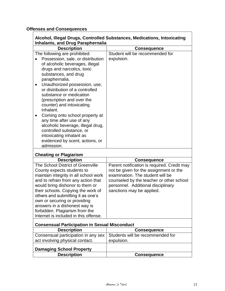## **Offenses and Consequences**

| Alcohol, Illegal Drugs, Controlled Substances, Medications, Intoxicating<br><b>Inhalants, and Drug Paraphernalia</b> |  |
|----------------------------------------------------------------------------------------------------------------------|--|
| <b>Consequence</b>                                                                                                   |  |
| Student will be recommended for                                                                                      |  |
| expulsion.                                                                                                           |  |
|                                                                                                                      |  |
|                                                                                                                      |  |
|                                                                                                                      |  |

## **Cheating or Plagiarism**

| <b>Description</b>                    | <b>Consequence</b>                          |
|---------------------------------------|---------------------------------------------|
| The School District of Greenville     | Parent notification is required. Credit may |
| County expects students to            | not be given for the assignment or the      |
| maintain integrity in all school work | examination. The student will be            |
| and to refrain from any action that   | counseled by the teacher or other school    |
| would bring dishonor to them or       | personnel. Additional disciplinary          |
| their schools. Copying the work of    | sanctions may be applied.                   |
| others and submitting it as one's     |                                             |
| own or securing or providing          |                                             |
| answers in a dishonest way is         |                                             |
| forbidden. Plagiarism from the        |                                             |
| Internet is included in this offense. |                                             |

## **Consensual Participation in Sexual Misconduct**

| <b>Description</b>                                                     | <b>Consequence</b> |
|------------------------------------------------------------------------|--------------------|
| Consensual participation in any sex   Students will be recommended for |                    |
| act involving physical contact.                                        | expulsion.         |
| <b>Damaging School Property</b>                                        |                    |
| <b>Description</b>                                                     | <b>Consequence</b> |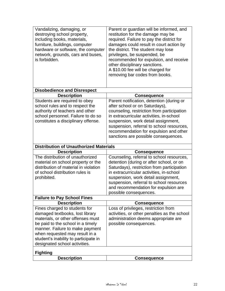| be paid to the school in a timely<br>manner. Failure to make payment<br>when requested may result in a<br>student's inability to participate in<br>designated school activities.<br><b>Fighting</b><br><b>Description</b> | <b>Consequence</b>                                                                   |
|---------------------------------------------------------------------------------------------------------------------------------------------------------------------------------------------------------------------------|--------------------------------------------------------------------------------------|
|                                                                                                                                                                                                                           |                                                                                      |
|                                                                                                                                                                                                                           |                                                                                      |
|                                                                                                                                                                                                                           |                                                                                      |
|                                                                                                                                                                                                                           |                                                                                      |
|                                                                                                                                                                                                                           |                                                                                      |
|                                                                                                                                                                                                                           | possible consequences.                                                               |
| materials, or other offenses must                                                                                                                                                                                         | activities, or other penalties as the school<br>administration deems appropriate are |
| Fines charged to students for<br>damaged textbooks, lost library                                                                                                                                                          | Loss of privileges, restriction from                                                 |
| <b>Description</b>                                                                                                                                                                                                        | <b>Consequence</b>                                                                   |
| <b>Failure to Pay School Fines</b>                                                                                                                                                                                        |                                                                                      |
|                                                                                                                                                                                                                           | possible consequences.                                                               |
|                                                                                                                                                                                                                           | and recommendation for expulsion are                                                 |
|                                                                                                                                                                                                                           | suspension, referral to school resources                                             |
| prohibited.                                                                                                                                                                                                               | suspension, work detail assignment,                                                  |
| of school distribution rules is                                                                                                                                                                                           | in extracurricular activities, in-school                                             |
| distribution of material in violation                                                                                                                                                                                     | Saturdays), restriction from participation                                           |
| material on school property or the                                                                                                                                                                                        | detention (during or after school, or on                                             |
| The distribution of unauthorized                                                                                                                                                                                          | Counseling, referral to school resources,                                            |
| <b>Description</b>                                                                                                                                                                                                        | <b>Consequence</b>                                                                   |
| <b>Distribution of Unauthorized Materials</b>                                                                                                                                                                             |                                                                                      |
|                                                                                                                                                                                                                           | sanctions are possible consequences.                                                 |
|                                                                                                                                                                                                                           | recommendation for expulsion and other                                               |
|                                                                                                                                                                                                                           | suspension, referral to school resources,                                            |
| constitutes a disciplinary offense.                                                                                                                                                                                       | suspension, work detail assignment,                                                  |
| school personnel. Failure to do so                                                                                                                                                                                        | in extracurricular activities, in-school                                             |
| authority of teachers and other                                                                                                                                                                                           | counseling, restriction from participation                                           |
| school rules and to respect the                                                                                                                                                                                           | after school or on Saturdays),                                                       |
| Students are required to obey                                                                                                                                                                                             | Parent notification, detention (during or                                            |
| <b>Description</b>                                                                                                                                                                                                        | <b>Consequence</b>                                                                   |
| <b>Disobedience and Disrespect</b>                                                                                                                                                                                        |                                                                                      |
|                                                                                                                                                                                                                           |                                                                                      |
|                                                                                                                                                                                                                           | removing bar codes from books.                                                       |
|                                                                                                                                                                                                                           | A \$10.00 fee will be charged for                                                    |
|                                                                                                                                                                                                                           | other disciplinary sanctions.                                                        |
| is forbidden.                                                                                                                                                                                                             | recommended for expulsion, and receive                                               |
| network, grounds, cars and buses,                                                                                                                                                                                         | privileges, be suspended, be                                                         |
| hardware or software, the computer                                                                                                                                                                                        | the district. The student may lose                                                   |
| furniture, buildings, computer                                                                                                                                                                                            | damages could result in court action by                                              |
| including books, materials,                                                                                                                                                                                               | required. Failure to pay the district for                                            |
|                                                                                                                                                                                                                           | restitution for the damage may be                                                    |
| destroying school property,                                                                                                                                                                                               | Parent or guardian will be informed, and                                             |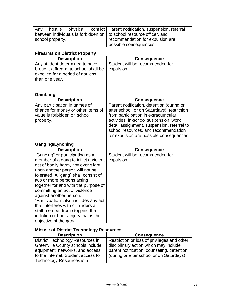| hostile<br>physical<br>conflict<br>Any         | Parent notification, suspension, referral   |
|------------------------------------------------|---------------------------------------------|
| between individuals is forbidden on            | to school resource officer, and             |
| school property.                               | recommendation for expulsion are            |
|                                                | possible consequences.                      |
|                                                |                                             |
| <b>Firearms on District Property</b>           |                                             |
| <b>Description</b>                             | <b>Consequence</b>                          |
| Any student determined to have                 | Student will be recommended for             |
| brought a firearm to school shall be           | expulsion.                                  |
| expelled for a period of not less              |                                             |
| than one year.                                 |                                             |
|                                                |                                             |
| Gambling                                       |                                             |
| <b>Description</b>                             | <b>Consequence</b>                          |
| Any participation in games of                  | Parent notification, detention (during or   |
| chance for money or other items of             | after school, or on Saturdays), restriction |
| value is forbidden on school                   | from participation in extracurricular       |
| property.                                      | activities, in-school suspension, work      |
|                                                | detail assignment, suspension, referral to  |
|                                                | school resources, and recommendation        |
|                                                | for expulsion are possible consequences.    |
|                                                |                                             |
| <b>Ganging/Lynching</b>                        |                                             |
| <b>Description</b>                             | <b>Consequence</b>                          |
| "Ganging" or participating as a                | Student will be recommended for             |
| member of a gang to inflict a violent          | expulsion.                                  |
| act of bodily harm, however slight,            |                                             |
| upon another person will not be                |                                             |
| tolerated. A "gang" shall consist of           |                                             |
| two or more persons acting                     |                                             |
| together for and with the purpose of           |                                             |
| committing an act of violence                  |                                             |
| against another person.                        |                                             |
| "Participation" also includes any act          |                                             |
| that interferes with or hinders a              |                                             |
| staff member from stopping the                 |                                             |
| infliction of bodily injury that is the        |                                             |
| objective of the gang.                         |                                             |
| <b>Misuse of District Technology Resources</b> |                                             |
| <b>Description</b>                             | <b>Consequence</b>                          |
| <b>District Technology Resources in</b>        | Restriction or loss of privileges and other |
| Greenville County schools include              | disciplinary action which may include       |
| equipment, networks, and access                | parent notification, counseling, detention  |
| to the Internet. Student access to             | (during or after school or on Saturdays),   |
| Technology Resources is a                      |                                             |
|                                                |                                             |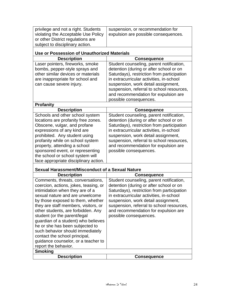| privilege and not a right. Students | suspension, or recommendation for    |
|-------------------------------------|--------------------------------------|
| violating the Acceptable Use Policy | expulsion are possible consequences. |
| or other District regulations are   |                                      |
| subject to disciplinary action.     |                                      |

## **Use or Possession of Unauthorized Materials**

| <b>Description</b>                                                                                       | <b>Consequence</b>                                                                                                                                                                             |
|----------------------------------------------------------------------------------------------------------|------------------------------------------------------------------------------------------------------------------------------------------------------------------------------------------------|
| Laser pointers, fireworks, smoke<br>bombs, pepper-style sprays and<br>other similar devices or materials | Student counseling, parent notification,<br>detention (during or after school or on<br>Saturdays), restriction from participation                                                              |
| are inappropriate for school and<br>can cause severe injury.                                             | in extracurricular activities, in-school<br>suspension, work detail assignment,<br>suspension, referral to school resources,<br>and recommendation for expulsion are<br>possible consequences. |
| <b>Profanity</b>                                                                                         |                                                                                                                                                                                                |

| <b>Description</b>                    | <b>Consequence</b>                         |
|---------------------------------------|--------------------------------------------|
| Schools and other school system       | Student counseling, parent notification,   |
| locations are profanity free zones.   | detention (during or after school or on    |
| Obscene, vulgar, and profane          | Saturdays), restriction from participation |
| expressions of any kind are           | in extracurricular activities, in-school   |
| prohibited. Any student using         | suspension, work detail assignment,        |
| profanity while on school system      | suspension, referral to school resources,  |
| property, attending a school          | and recommendation for expulsion are       |
| sponsored event, or representing      | possible consequences.                     |
| the school or school system will      |                                            |
| face appropriate disciplinary action. |                                            |

#### **Sexual Harassment/Misconduct of a Sexual Nature**

| <b>Description</b>                                                                                                                                                                                                                                                  | <b>Consequence</b>                                                                                                                                                                                                                                                                                        |
|---------------------------------------------------------------------------------------------------------------------------------------------------------------------------------------------------------------------------------------------------------------------|-----------------------------------------------------------------------------------------------------------------------------------------------------------------------------------------------------------------------------------------------------------------------------------------------------------|
| Comments, threats, conversations,<br>coercion, actions, jokes, teasing, or<br>intimidation when they are of a<br>sexual nature and are unwelcome<br>by those exposed to them, whether<br>they are staff members, visitors, or<br>other students, are forbidden. Any | Student counseling, parent notification,<br>detention (during or after school or on<br>Saturdays), restriction from participation<br>in extracurricular activities, in-school<br>suspension, work detail assignment,<br>suspension, referral to school resources,<br>and recommendation for expulsion are |
| student (or the parent/legal<br>quardian of a student) who believes<br>he or she has been subjected to<br>such behavior should immediately<br>contact the school principal,<br>guidance counselor, or a teacher to<br>report the behavior.                          | possible consequences.                                                                                                                                                                                                                                                                                    |
| <b>Smoking</b>                                                                                                                                                                                                                                                      |                                                                                                                                                                                                                                                                                                           |
| <b>Description</b>                                                                                                                                                                                                                                                  | <b>Conseauence</b>                                                                                                                                                                                                                                                                                        |
|                                                                                                                                                                                                                                                                     |                                                                                                                                                                                                                                                                                                           |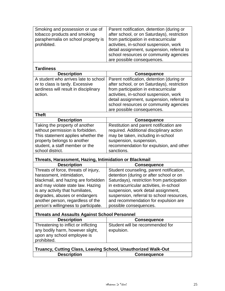| Smoking and possession or use of    | Parent notification, detention (during or   |
|-------------------------------------|---------------------------------------------|
| tobacco products and smoking        | after school, or on Saturdays), restriction |
| paraphernalia on school property is | from participation in extracurricular       |
| prohibited.                         | activities, in-school suspension, work      |
|                                     | detail assignment, suspension, referral to  |
|                                     | school resources or community agencies      |
|                                     | are possible consequences.                  |

#### **Tardiness**

school district.

| <b>Description</b>                    | <b>Consequence</b>                          |
|---------------------------------------|---------------------------------------------|
| A student who arrives late to school  | Parent notification, detention (during or   |
| or to class is tardy. Excessive       | after school, or on Saturdays), restriction |
| tardiness will result in disciplinary | from participation in extracurricular       |
| action.                               | activities, in-school suspension, work      |
|                                       | detail assignment, suspension, referral to  |
|                                       | school resources or community agencies      |
|                                       | are possible consequences.                  |
| <b>Theft</b>                          |                                             |
| <b>Description</b>                    | <b>Consequence</b>                          |
| Taking the property of another        | Restitution and parent notification are     |
| without permission is forbidden.      | required. Additional disciplinary action    |
| This statement applies whether the    | may be taken, including in-school           |
| property belongs to another           | suspension, suspension,                     |
| student, a staff member or the        | recommendation for expulsion, and other     |

#### **Threats, Harassment, Hazing, Intimidation or Blackmail**

| <b>TH</b> valo, Harassinoni, Hazing, Intimiaation of Diaokinan |                                            |
|----------------------------------------------------------------|--------------------------------------------|
| <b>Description</b>                                             | <b>Consequence</b>                         |
| Threats of force, threats of injury,                           | Student counseling, parent notification,   |
| harassment, intimidation,                                      | detention (during or after school or on    |
| blackmail, and hazing are forbidden                            | Saturdays), restriction from participation |
| and may violate state law. Hazing                              | in extracurricular activities, in-school   |
| is any activity that humiliates,                               | suspension, work detail assignment,        |
| degrades, abuses or endangers                                  | suspension, referral to school resources,  |
| another person, regardless of the                              | and recommendation for expulsion are       |
| person's willingness to participate.                           | possible consequences.                     |
|                                                                |                                            |

sanctions.

## **Threats and Assaults Against School Personnel**

| <b>Description</b>                                                                                      | <b>Consequence</b>                            |
|---------------------------------------------------------------------------------------------------------|-----------------------------------------------|
| Threatening to inflict or inflicting<br>any bodily harm, however slight,<br>upon any school employee is | Student will be recommended for<br>expulsion. |
| prohibited.                                                                                             |                                               |

| Truancy, Cutting Class, Leaving School, Unauthorized Walk-Out |                    |  |
|---------------------------------------------------------------|--------------------|--|
| <b>Description</b>                                            | <b>Consequence</b> |  |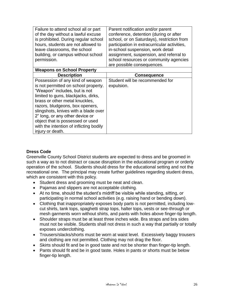| Failure to attend school all or part    | Parent notification and/or parent            |
|-----------------------------------------|----------------------------------------------|
| of the day without a lawful excuse      | conference, detention (during or after       |
| is prohibited. During regular school    | school, or on Saturdays), restriction from   |
| hours, students are not allowed to      | participation in extracurricular activities, |
| leave classrooms, the school            | in-school suspension, work detail            |
| building, or campus without school      | assignment, suspension, and referral to      |
| permission.                             | school resources or community agencies       |
|                                         | are possible consequences.                   |
| <b>Weapons on School Property</b>       |                                              |
| <b>Description</b>                      | <b>Consequence</b>                           |
| Possession of any kind of weapon        | Student will be recommended for              |
| is not permitted on school property.    | expulsion.                                   |
| "Weapon" includes, but is not           |                                              |
| limited to guns, blackjacks, dirks,     |                                              |
| brass or other metal knuckles,          |                                              |
| razors, bludgeons, box openers,         |                                              |
| slingshots, knives with a blade over    |                                              |
| 2" long, or any other device or         |                                              |
| object that is possessed or used        |                                              |
| with the intention of inflicting bodily |                                              |
|                                         |                                              |

#### **Dress Code**

Greenville County School District students are expected to dress and be groomed in such a way as to not distract or cause disruption in the educational program or orderly operation of the school. Students should dress for the educational setting and not the recreational one. The principal may create further guidelines regarding student dress, which are consistent with this policy.

- Student dress and grooming must be neat and clean.
- Pajamas and slippers are not acceptable clothing.
- At no time, should the student's midriff be visible while standing, sitting, or participating in normal school activities (e.g. raising hand or bending down).
- Clothing that inappropriately exposes body parts is not permitted, including lowcut shirts, tank tops, spaghetti strap tops, halter tops, vests or see-through or mesh garments worn without shirts, and pants with holes above finger-tip length.
- Shoulder straps must be at least three inches wide. Bra straps and bra sides must not be visible. Students shall not dress in such a way that partially or totally exposes underclothing.
- Trousers/slacks/shorts must be worn at waist level. Excessively baggy trousers and clothing are not permitted. Clothing may not drag the floor.
- Skirts should fit and be in good taste and not be shorter than finger-tip length.
- Pants should fit and be in good taste. Holes in pants or shorts must be below finger-tip length.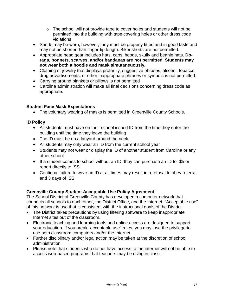- o The school will not provide tape to cover holes and students will not be permitted into the building with tape covering holes or other dress code violations
- Shorts may be worn, however, they must be properly fitted and in good taste and may not be shorter than finger-tip length. Biker shorts are not permitted.
- Appropriate head gear includes hats, caps, hoods, skully and beanie hats. **Dorags, bonnets, scarves, and/or bandanas are not permitted**. **Students may not wear both a hoodie and mask simutaneuously.**
- Clothing or jewelry that displays profanity, suggestive phrases, alcohol, tobacco, drug advertisements, or other inappropriate phrases or symbols is not permitted.
- Carrying around blankets or pillows is not permitted
- Carolina administration will make all final decisions concerning dress code as appropriate.

## **Student Face Mask Expectations**

• The voluntary wearing of masks is permitted in Greenville County Schools.

#### **ID Policy**

- All students must have on their school issued ID from the time they enter the building until the time they leave the building
- The ID must be on a lanyard around the neck
- All students may only wear an ID from the current school year
- Students may not wear or display the ID of another student from Carolina or any other school
- If a student comes to school without an ID, they can purchase an ID for \$5 or report directly to ISS
- Continual failure to wear an ID at all times may result in a refusal to obey referral and 3 days of ISS

## **Greenville County Student Acceptable Use Policy Agreement**

The School District of Greenville County has developed a computer network that connects all schools to each other, the District Office, and the Internet. "Acceptable use" of this network is use that is consistent with the instructional goals of the District.

- The District takes precautions by using filtering software to keep inappropriate Internet sites out of the classroom.
- Electronic teaching and learning tools and online access are designed to support your education. If you break "acceptable use" rules, you may lose the privilege to use both classroom computers and/or the Internet.
- Further disciplinary and/or legal action may be taken at the discretion of school administration.
- Please note that students who do not have access to the internet will not be able to access web-based programs that teachers may be using in class.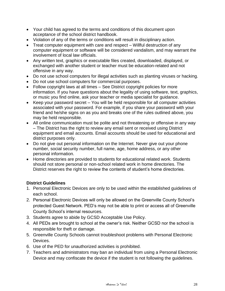- Your child has agreed to the terms and conditions of this document upon acceptance of the school district handbook.
- Violation of any of the terms or conditions will result in disciplinary action.
- Treat computer equipment with care and respect Willful destruction of any computer equipment or software will be considered vandalism, and may warrant the involvement of local law officials.
- Any written text, graphics or executable files created, downloaded, displayed, or exchanged with another student or teacher must be education-related and not offensive in any way.
- Do not use school computers for illegal activities such as planting viruses or hacking.
- Do not use school computers for commercial purposes.
- Follow copyright laws at all times See District copyright policies for more information. If you have questions about the legality of using software, text, graphics, or music you find online, ask your teacher or media specialist for guidance.
- Keep your password secret You will be held responsible for all computer activities associated with your password. For example, if you share your password with your friend and he/she signs on as you and breaks one of the rules outlined above, you may be held responsible.
- All online communication must be polite and not threatening or offensive in any way – The District has the right to review any email sent or received using District equipment and email accounts. Email accounts should be used for educational and district purposes only.
- Do not give out personal information on the Internet. Never give out your phone number, social security number, full name, age, home address, or any other personal information.
- Home directories are provided to students for educational related work. Students should not store personal or non-school related work in home directories. The District reserves the right to review the contents of student's home directories.

#### **District Guidelines**

- 1. Personal Electronic Devices are only to be used within the established guidelines of each school.
- 2. Personal Electronic Devices will only be allowed on the Greenville County School's protected Guest Network. PED's may not be able to print or access all of Greenville County School's internal resources.
- 3. Students agree to abide by GCSD Acceptable Use Policy.
- 4. All PEDs are brought to school at the owner's risk. Neither GCSD nor the school is responsible for theft or damage.
- 5. Greenville County Schools cannot troubleshoot problems with Personal Electronic Devices.
- 6. Use of the PED for unauthorized activities is prohibited.
- 7. Teachers and administrators may ban an individual from using a Personal Electronic Device and may confiscate the device if the student is not following the guidelines.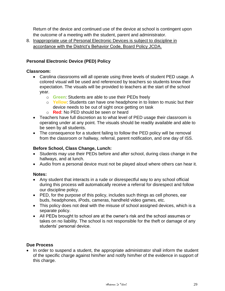Return of the device and continued use of the device at school is contingent upon the outcome of a meeting with the student, parent and administrator.

8. Inappropriate use of Personal Electronic Devices is subject to discipline in accordance with the District's Behavior Code, Board Policy JCDA.

#### **Personal Electronic Device (PED) Policy**

#### **Classroom:**

- Carolina classrooms will all operate using three levels of student PED usage. A colored visual will be used and referenced by teachers so students know their expectation. The visuals will be provided to teachers at the start of the school year.
	- o **Green**: Students are able to use their PEDs freely
	- o **Yellow**: Students can have one headphone in to listen to music but their device needs to be out of sight once getting on task
	- o **Red**: No PED should be seen or heard
- Teachers have full discretion as to what level of PED usage their classroom is operating under at any point. The visuals should be readily available and able to be seen by all students.
- The consequence for a student failing to follow the PED policy will be removal from the classroom or hallway, referral, parent notification, and one day of ISS.

#### **Before School, Class Change, Lunch:**

- Students may use their PEDs before and after school, during class change in the hallways, and at lunch.
- Audio from a personal device must not be played aloud where others can hear it.

#### **Notes:**

- Any student that interacts in a rude or disrespectful way to any school official during this process will automatically receive a referral for disrespect and follow our discipline policy.
- PED, for the purpose of this policy, includes such things as cell phones, ear buds, headphones, iPods, cameras, handheld video games, etc.
- This policy does not deal with the misuse of school assigned devices, which is a separate policy.
- All PEDs brought to school are at the owner's risk and the school assumes or takes on no liability. The school is not responsible for the theft or damage of any students' personal device.

#### **Due Process**

• In order to suspend a student, the appropriate administrator shall inform the student of the specific charge against him/her and notify him/her of the evidence in support of this charge.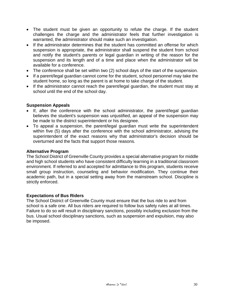- The student must be given an opportunity to refute the charge. If the student challenges the charge and the administrator feels that further investigation is warranted, the administrator should make such an investigation.
- If the administrator determines that the student has committed an offense for which suspension is appropriate, the administrator shall suspend the student from school and notify the student's parents or legal guardian in writing of the reason for the suspension and its length and of a time and place when the administrator will be available for a conference.
- The conference shall be set within two (2) school days of the start of the suspension.
- If a parent/legal guardian cannot come for the student, school personnel may take the student home, so long as the parent is at home to take charge of the student.
- If the administrator cannot reach the parent/legal guardian, the student must stay at school until the end of the school day.

#### **Suspension Appeals**

- If, after the conference with the school administrator, the parent/legal guardian believes the student's suspension was unjustified, an appeal of the suspension may be made to the district superintendent or his designee.
- To appeal a suspension, the parent/legal guardian must write the superintendent within five (5) days after the conference with the school administrator, advising the superintendent of the exact reasons why that administrator's decision should be overturned and the facts that support those reasons.

#### **Alternative Program**

The School District of Greenville County provides a special alternative program for middle and high school students who have consistent difficulty learning in a traditional classroom environment. If referred to and accepted for admittance to this program, students receive small group instruction, counseling and behavior modification. They continue their academic path, but in a special setting away from the mainstream school. Discipline is strictly enforced.

#### **Expectations of Bus Riders**

The School District of Greenville County must ensure that the bus ride to and from school is a safe one. All bus riders are required to follow bus safety rules at all times. Failure to do so will result in disciplinary sanctions, possibly including exclusion from the bus. Usual school disciplinary sanctions, such as suspension and expulsion, may also be imposed.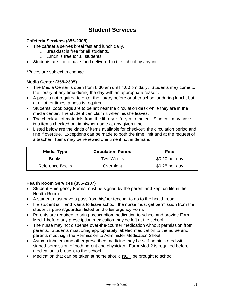# **Student Services**

#### **Cafeteria Services (355-2308)**

- The cafeteria serves breakfast and lunch daily.
	- o Breakfast is free for all students.
	- $\circ$  Lunch is free for all students.
- Students are not to have food delivered to the school by anyone.

\*Prices are subject to change.

#### **Media Center (355-2305)**

- The Media Center is open from 8:30 am until 4:00 pm daily. Students may come to the library at any time during the day with an appropriate reason.
- A pass is not required to enter the library before or after school or during lunch, but at all other times, a pass is required.
- Students' book bags are to be left near the circulation desk while they are in the media center. The student can claim it when he/she leaves.
- The checkout of materials from the library is fully automated. Students may have two items checked out in his/her name at any given time.
- Listed below are the kinds of items available for checkout, the circulation period and fine if overdue. Exceptions can be made to both the time limit and at the request of a teacher. Items may be renewed one time if not in demand.

| Media Type             | <b>Circulation Period</b> | Fine            |
|------------------------|---------------------------|-----------------|
| <b>Books</b>           | Two Weeks                 | $$0.10$ per day |
| <b>Reference Books</b> | Overnight                 | $$0.25$ per day |

#### **Health Room Services (355-2307)**

- Student Emergency Forms must be signed by the parent and kept on file in the Health Room.
- A student must have a pass from his/her teacher to go to the health room.
- If a student is ill and wants to leave school, the nurse must get permission from the student's parent/guardian listed on the Emergency Form.
- Parents are required to bring prescription medication to school and provide Form Med-1 before any prescription medication may be left at the school.
- The nurse may not dispense over-the-counter medication without permission from parents. Students must bring appropriately labeled medication to the nurse and parents must sign the Permission to Administer Medication Sheet.
- Asthma inhalers and other prescribed medicine may be self-administered with signed permission of both parent and physician. Form Med-2 is required before medication is brought to the school.
- Medication that can be taken at home should NOT be brought to school.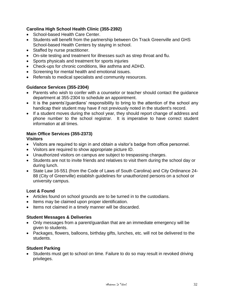#### **Carolina High School Health Clinic (355-2392)**

- School-based Health Care Center.
- Students will benefit from the partnership between On Track Greenville and GHS School-based Health Centers by staying in school.
- Staffed by nurse practitioner.
- On-site testing and treatment for illnesses such as strep throat and flu.
- Sports physicals and treatment for sports injuries
- Check-ups for chronic conditions, like asthma and ADHD.
- Screening for mental health and emotional issues.
- Referrals to medical specialists and community resources.

#### **Guidance Services (355-2304)**

- Parents who wish to confer with a counselor or teacher should contact the guidance department at 355-2304 to schedule an appointment.
- It is the parents'/guardians' responsibility to bring to the attention of the school any handicap their student may have if not previously noted in the student's record.
- If a student moves during the school year, they should report change of address and phone number to the school registrar. It is imperative to have correct student information at all times.

## **Main Office Services (355-2373)**

#### **Visitors**

- Visitors are required to sign in and obtain a visitor's badge from office personnel.
- Visitors are required to show appropriate picture ID.
- Unauthorized visitors on campus are subject to trespassing charges.
- Students are not to invite friends and relatives to visit them during the school day or during lunch.
- State Law 16-551 (from the Code of Laws of South Carolina) and City Ordinance 24- 88 (City of Greenville) establish guidelines for unauthorized persons on a school or university campus.

#### **Lost & Found**

- Articles found on school grounds are to be turned in to the custodians.
- Items may be claimed upon proper identification.
- Items not claimed in a timely manner will be discarded.

#### **Student Messages & Deliveries**

- Only messages from a parent/guardian that are an immediate emergency will be given to students.
- Packages, flowers, balloons, birthday gifts, lunches, etc. will not be delivered to the students.

#### **Student Parking**

• Students must get to school on time. Failure to do so may result in revoked driving privileges.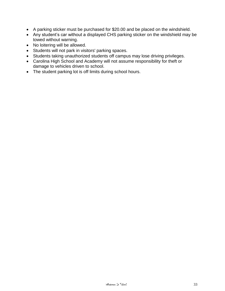- A parking sticker must be purchased for \$20.00 and be placed on the windshield.
- Any student's car without a displayed CHS parking sticker on the windshield may be towed without warning.
- No loitering will be allowed.
- Students will not park in visitors' parking spaces.
- Students taking unauthorized students off campus may lose driving privileges.
- Carolina High School and Academy will not assume responsibility for theft or damage to vehicles driven to school.
- The student parking lot is off limits during school hours.